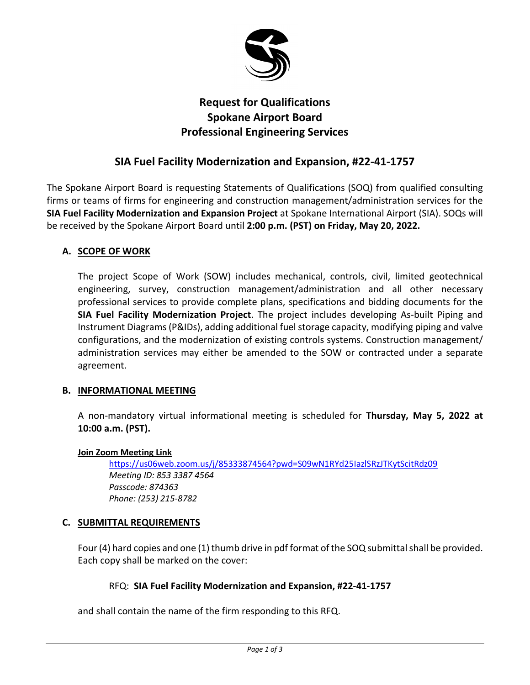

# **Request for Qualifications Spokane Airport Board Professional Engineering Services**

# **SIA Fuel Facility Modernization and Expansion, #22-41-1757**

The Spokane Airport Board is requesting Statements of Qualifications (SOQ) from qualified consulting firms or teams of firms for engineering and construction management/administration services for the **SIA Fuel Facility Modernization and Expansion Project** at Spokane International Airport (SIA). SOQs will be received by the Spokane Airport Board until **2:00 p.m. (PST) on Friday, May 20, 2022.**

# **A. SCOPE OF WORK**

The project Scope of Work (SOW) includes mechanical, controls, civil, limited geotechnical engineering, survey, construction management/administration and all other necessary professional services to provide complete plans, specifications and bidding documents for the **SIA Fuel Facility Modernization Project**. The project includes developing As-built Piping and Instrument Diagrams (P&IDs), adding additional fuel storage capacity, modifying piping and valve configurations, and the modernization of existing controls systems. Construction management/ administration services may either be amended to the SOW or contracted under a separate agreement.

# **B. INFORMATIONAL MEETING**

A non-mandatory virtual informational meeting is scheduled for **Thursday, May 5, 2022 at 10:00 a.m. (PST).**

### **Join Zoom Meeting Link**

<https://us06web.zoom.us/j/85333874564?pwd=S09wN1RYd25IazlSRzJTKytScitRdz09> *Meeting ID: 853 3387 4564 Passcode: 874363 Phone: (253) 215-8782*

# **C. SUBMITTAL REQUIREMENTS**

Four (4) hard copies and one (1) thumb drive in pdf format of the SOQ submittal shall be provided. Each copy shall be marked on the cover:

# RFQ: **SIA Fuel Facility Modernization and Expansion, #22-41-1757**

and shall contain the name of the firm responding to this RFQ.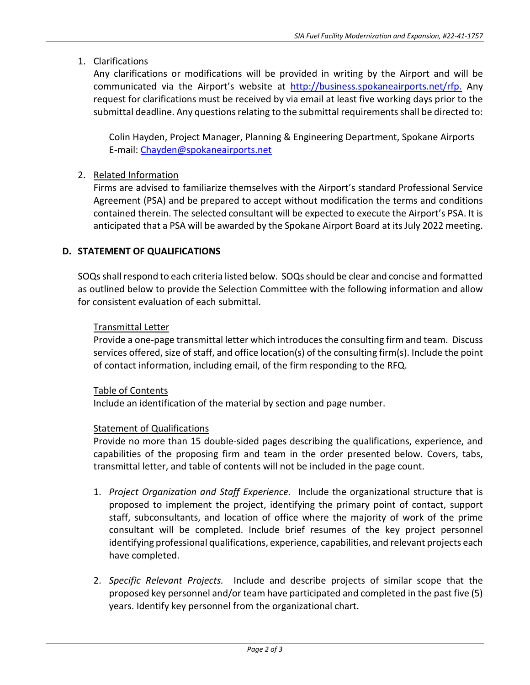# 1. Clarifications

Any clarifications or modifications will be provided in writing by the Airport and will be communicated via the Airport's website at [http://business.spokaneairports.net/rfp.](http://business.spokaneairports.net/rfp) Any request for clarifications must be received by via email at least five working days prior to the submittal deadline. Any questions relating to the submittal requirements shall be directed to:

Colin Hayden, Project Manager, Planning & Engineering Department, Spokane Airports E-mail: [Chayden@spokaneairports.net](mailto:Chayden@spokaneairports.net)

# 2. Related Information

Firms are advised to familiarize themselves with the Airport's standard Professional Service Agreement (PSA) and be prepared to accept without modification the terms and conditions contained therein. The selected consultant will be expected to execute the Airport's PSA. It is anticipated that a PSA will be awarded by the Spokane Airport Board at its July 2022 meeting.

# **D. STATEMENT OF QUALIFICATIONS**

SOQs shall respond to each criteria listed below. SOQs should be clear and concise and formatted as outlined below to provide the Selection Committee with the following information and allow for consistent evaluation of each submittal.

### Transmittal Letter

Provide a one-page transmittal letter which introduces the consulting firm and team. Discuss services offered, size of staff, and office location(s) of the consulting firm(s). Include the point of contact information, including email, of the firm responding to the RFQ.

### Table of Contents

Include an identification of the material by section and page number.

### Statement of Qualifications

Provide no more than 15 double-sided pages describing the qualifications, experience, and capabilities of the proposing firm and team in the order presented below. Covers, tabs, transmittal letter, and table of contents will not be included in the page count.

- 1. *Project Organization and Staff Experience.* Include the organizational structure that is proposed to implement the project, identifying the primary point of contact, support staff, subconsultants, and location of office where the majority of work of the prime consultant will be completed. Include brief resumes of the key project personnel identifying professional qualifications, experience, capabilities, and relevant projects each have completed.
- 2. *Specific Relevant Projects.* Include and describe projects of similar scope that the proposed key personnel and/or team have participated and completed in the past five (5) years. Identify key personnel from the organizational chart.